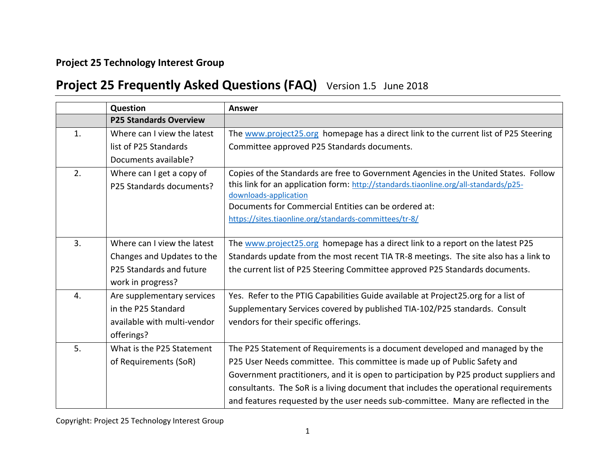## **Project 25 Technology Interest Group**

## **Project 25 Frequently Asked Questions (FAQ)** Version 1.5 June 2018

|    | Question                      | <b>Answer</b>                                                                          |
|----|-------------------------------|----------------------------------------------------------------------------------------|
|    | <b>P25 Standards Overview</b> |                                                                                        |
| 1. | Where can I view the latest   | The www.project25.org homepage has a direct link to the current list of P25 Steering   |
|    | list of P25 Standards         | Committee approved P25 Standards documents.                                            |
|    | Documents available?          |                                                                                        |
| 2. | Where can I get a copy of     | Copies of the Standards are free to Government Agencies in the United States. Follow   |
|    | P25 Standards documents?      | this link for an application form: http://standards.tiaonline.org/all-standards/p25-   |
|    |                               | downloads-application                                                                  |
|    |                               | Documents for Commercial Entities can be ordered at:                                   |
|    |                               | https://sites.tiaonline.org/standards-committees/tr-8/                                 |
|    |                               |                                                                                        |
| 3. | Where can I view the latest   | The www.project25.org homepage has a direct link to a report on the latest P25         |
|    | Changes and Updates to the    | Standards update from the most recent TIA TR-8 meetings. The site also has a link to   |
|    | P25 Standards and future      | the current list of P25 Steering Committee approved P25 Standards documents.           |
|    | work in progress?             |                                                                                        |
| 4. | Are supplementary services    | Yes. Refer to the PTIG Capabilities Guide available at Project25.org for a list of     |
|    | in the P25 Standard           | Supplementary Services covered by published TIA-102/P25 standards. Consult             |
|    | available with multi-vendor   | vendors for their specific offerings.                                                  |
|    | offerings?                    |                                                                                        |
| 5. | What is the P25 Statement     | The P25 Statement of Requirements is a document developed and managed by the           |
|    | of Requirements (SoR)         | P25 User Needs committee. This committee is made up of Public Safety and               |
|    |                               | Government practitioners, and it is open to participation by P25 product suppliers and |
|    |                               | consultants. The SoR is a living document that includes the operational requirements   |
|    |                               | and features requested by the user needs sub-committee. Many are reflected in the      |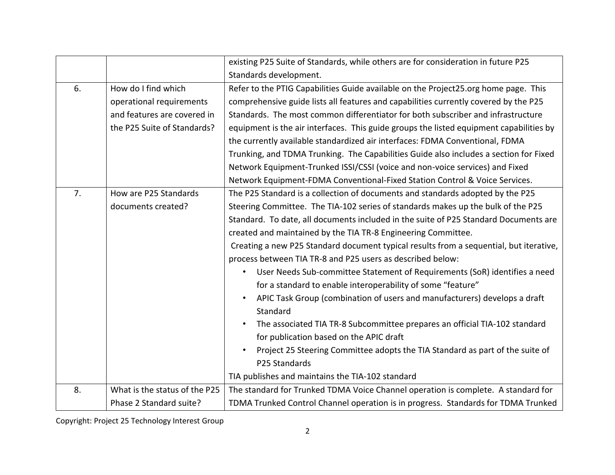|    |                               | existing P25 Suite of Standards, while others are for consideration in future P25       |
|----|-------------------------------|-----------------------------------------------------------------------------------------|
|    |                               | Standards development.                                                                  |
| 6. | How do I find which           | Refer to the PTIG Capabilities Guide available on the Project25.org home page. This     |
|    | operational requirements      | comprehensive guide lists all features and capabilities currently covered by the P25    |
|    | and features are covered in   | Standards. The most common differentiator for both subscriber and infrastructure        |
|    | the P25 Suite of Standards?   | equipment is the air interfaces. This guide groups the listed equipment capabilities by |
|    |                               | the currently available standardized air interfaces: FDMA Conventional, FDMA            |
|    |                               | Trunking, and TDMA Trunking. The Capabilities Guide also includes a section for Fixed   |
|    |                               | Network Equipment-Trunked ISSI/CSSI (voice and non-voice services) and Fixed            |
|    |                               | Network Equipment-FDMA Conventional-Fixed Station Control & Voice Services.             |
| 7. | How are P25 Standards         | The P25 Standard is a collection of documents and standards adopted by the P25          |
|    | documents created?            | Steering Committee. The TIA-102 series of standards makes up the bulk of the P25        |
|    |                               | Standard. To date, all documents included in the suite of P25 Standard Documents are    |
|    |                               | created and maintained by the TIA TR-8 Engineering Committee.                           |
|    |                               | Creating a new P25 Standard document typical results from a sequential, but iterative,  |
|    |                               | process between TIA TR-8 and P25 users as described below:                              |
|    |                               | User Needs Sub-committee Statement of Requirements (SoR) identifies a need              |
|    |                               | for a standard to enable interoperability of some "feature"                             |
|    |                               | APIC Task Group (combination of users and manufacturers) develops a draft               |
|    |                               | Standard                                                                                |
|    |                               | The associated TIA TR-8 Subcommittee prepares an official TIA-102 standard              |
|    |                               | for publication based on the APIC draft                                                 |
|    |                               | Project 25 Steering Committee adopts the TIA Standard as part of the suite of           |
|    |                               | P25 Standards                                                                           |
|    |                               | TIA publishes and maintains the TIA-102 standard                                        |
| 8. | What is the status of the P25 | The standard for Trunked TDMA Voice Channel operation is complete. A standard for       |
|    | Phase 2 Standard suite?       | TDMA Trunked Control Channel operation is in progress. Standards for TDMA Trunked       |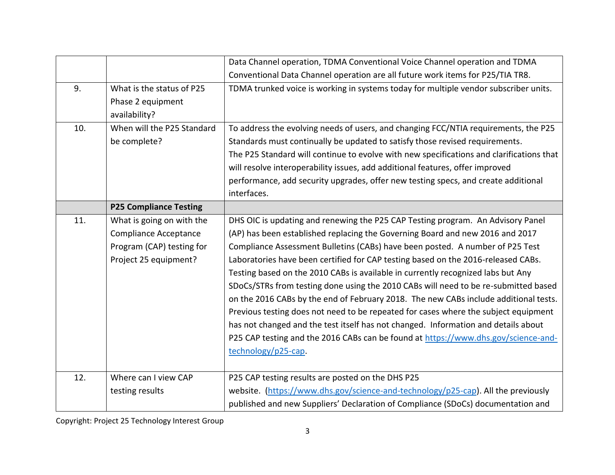|     |                                                                                                                 | Data Channel operation, TDMA Conventional Voice Channel operation and TDMA                                                                                                                                                                                                                                                                                                                                                                                                                                                                                                                                                                                                                                                                                                                                                                                                                          |
|-----|-----------------------------------------------------------------------------------------------------------------|-----------------------------------------------------------------------------------------------------------------------------------------------------------------------------------------------------------------------------------------------------------------------------------------------------------------------------------------------------------------------------------------------------------------------------------------------------------------------------------------------------------------------------------------------------------------------------------------------------------------------------------------------------------------------------------------------------------------------------------------------------------------------------------------------------------------------------------------------------------------------------------------------------|
|     |                                                                                                                 | Conventional Data Channel operation are all future work items for P25/TIA TR8.                                                                                                                                                                                                                                                                                                                                                                                                                                                                                                                                                                                                                                                                                                                                                                                                                      |
| 9.  | What is the status of P25<br>Phase 2 equipment<br>availability?                                                 | TDMA trunked voice is working in systems today for multiple vendor subscriber units.                                                                                                                                                                                                                                                                                                                                                                                                                                                                                                                                                                                                                                                                                                                                                                                                                |
| 10. | When will the P25 Standard<br>be complete?                                                                      | To address the evolving needs of users, and changing FCC/NTIA requirements, the P25<br>Standards must continually be updated to satisfy those revised requirements.<br>The P25 Standard will continue to evolve with new specifications and clarifications that<br>will resolve interoperability issues, add additional features, offer improved<br>performance, add security upgrades, offer new testing specs, and create additional<br>interfaces.                                                                                                                                                                                                                                                                                                                                                                                                                                               |
|     | <b>P25 Compliance Testing</b>                                                                                   |                                                                                                                                                                                                                                                                                                                                                                                                                                                                                                                                                                                                                                                                                                                                                                                                                                                                                                     |
| 11. | What is going on with the<br><b>Compliance Acceptance</b><br>Program (CAP) testing for<br>Project 25 equipment? | DHS OIC is updating and renewing the P25 CAP Testing program. An Advisory Panel<br>(AP) has been established replacing the Governing Board and new 2016 and 2017<br>Compliance Assessment Bulletins (CABs) have been posted. A number of P25 Test<br>Laboratories have been certified for CAP testing based on the 2016-released CABs.<br>Testing based on the 2010 CABs is available in currently recognized labs but Any<br>SDoCs/STRs from testing done using the 2010 CABs will need to be re-submitted based<br>on the 2016 CABs by the end of February 2018. The new CABs include additional tests.<br>Previous testing does not need to be repeated for cases where the subject equipment<br>has not changed and the test itself has not changed. Information and details about<br>P25 CAP testing and the 2016 CABs can be found at https://www.dhs.gov/science-and-<br>technology/p25-cap. |
| 12. | Where can I view CAP                                                                                            | P25 CAP testing results are posted on the DHS P25                                                                                                                                                                                                                                                                                                                                                                                                                                                                                                                                                                                                                                                                                                                                                                                                                                                   |
|     | testing results                                                                                                 | website. (https://www.dhs.gov/science-and-technology/p25-cap). All the previously<br>published and new Suppliers' Declaration of Compliance (SDoCs) documentation and                                                                                                                                                                                                                                                                                                                                                                                                                                                                                                                                                                                                                                                                                                                               |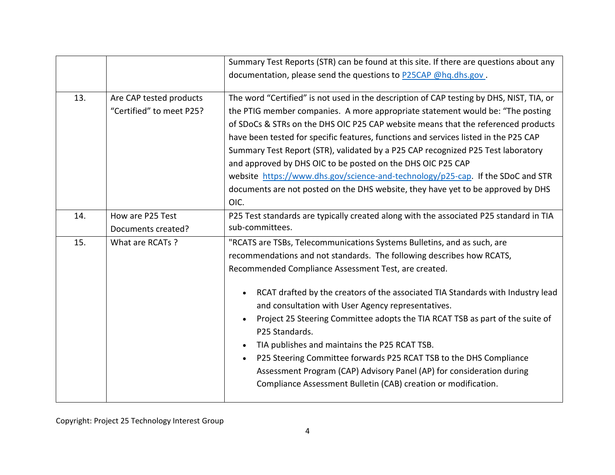|     |                                                     | Summary Test Reports (STR) can be found at this site. If there are questions about any                                                                                                                                                                                                                                                                                                                                                                                                                                                                                                                                                                                                                                              |
|-----|-----------------------------------------------------|-------------------------------------------------------------------------------------------------------------------------------------------------------------------------------------------------------------------------------------------------------------------------------------------------------------------------------------------------------------------------------------------------------------------------------------------------------------------------------------------------------------------------------------------------------------------------------------------------------------------------------------------------------------------------------------------------------------------------------------|
|     |                                                     | documentation, please send the questions to P25CAP @hq.dhs.gov.                                                                                                                                                                                                                                                                                                                                                                                                                                                                                                                                                                                                                                                                     |
| 13. | Are CAP tested products<br>"Certified" to meet P25? | The word "Certified" is not used in the description of CAP testing by DHS, NIST, TIA, or<br>the PTIG member companies. A more appropriate statement would be: "The posting<br>of SDoCs & STRs on the DHS OIC P25 CAP website means that the referenced products<br>have been tested for specific features, functions and services listed in the P25 CAP<br>Summary Test Report (STR), validated by a P25 CAP recognized P25 Test laboratory<br>and approved by DHS OIC to be posted on the DHS OIC P25 CAP<br>website https://www.dhs.gov/science-and-technology/p25-cap. If the SDoC and STR<br>documents are not posted on the DHS website, they have yet to be approved by DHS<br>OIC.                                           |
| 14. | How are P25 Test<br>Documents created?              | P25 Test standards are typically created along with the associated P25 standard in TIA<br>sub-committees.                                                                                                                                                                                                                                                                                                                                                                                                                                                                                                                                                                                                                           |
| 15. | What are RCATs ?                                    | "RCATS are TSBs, Telecommunications Systems Bulletins, and as such, are<br>recommendations and not standards. The following describes how RCATS,<br>Recommended Compliance Assessment Test, are created.<br>RCAT drafted by the creators of the associated TIA Standards with Industry lead<br>and consultation with User Agency representatives.<br>Project 25 Steering Committee adopts the TIA RCAT TSB as part of the suite of<br>P25 Standards.<br>TIA publishes and maintains the P25 RCAT TSB.<br>P25 Steering Committee forwards P25 RCAT TSB to the DHS Compliance<br>$\bullet$<br>Assessment Program (CAP) Advisory Panel (AP) for consideration during<br>Compliance Assessment Bulletin (CAB) creation or modification. |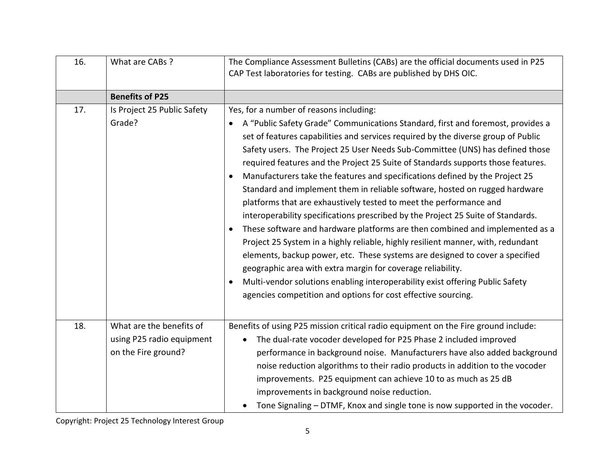| 16. | What are CABs ?                                                              | The Compliance Assessment Bulletins (CABs) are the official documents used in P25<br>CAP Test laboratories for testing. CABs are published by DHS OIC.                                                                                                                                                                                                                                                                                                                                                                                                                                                                                                                                                                                                                                                                                                                                                                                                                                                                                                                                                                                                                                                                    |
|-----|------------------------------------------------------------------------------|---------------------------------------------------------------------------------------------------------------------------------------------------------------------------------------------------------------------------------------------------------------------------------------------------------------------------------------------------------------------------------------------------------------------------------------------------------------------------------------------------------------------------------------------------------------------------------------------------------------------------------------------------------------------------------------------------------------------------------------------------------------------------------------------------------------------------------------------------------------------------------------------------------------------------------------------------------------------------------------------------------------------------------------------------------------------------------------------------------------------------------------------------------------------------------------------------------------------------|
|     | <b>Benefits of P25</b>                                                       |                                                                                                                                                                                                                                                                                                                                                                                                                                                                                                                                                                                                                                                                                                                                                                                                                                                                                                                                                                                                                                                                                                                                                                                                                           |
| 17. | Is Project 25 Public Safety<br>Grade?                                        | Yes, for a number of reasons including:<br>A "Public Safety Grade" Communications Standard, first and foremost, provides a<br>set of features capabilities and services required by the diverse group of Public<br>Safety users. The Project 25 User Needs Sub-Committee (UNS) has defined those<br>required features and the Project 25 Suite of Standards supports those features.<br>Manufacturers take the features and specifications defined by the Project 25<br>$\bullet$<br>Standard and implement them in reliable software, hosted on rugged hardware<br>platforms that are exhaustively tested to meet the performance and<br>interoperability specifications prescribed by the Project 25 Suite of Standards.<br>These software and hardware platforms are then combined and implemented as a<br>$\bullet$<br>Project 25 System in a highly reliable, highly resilient manner, with, redundant<br>elements, backup power, etc. These systems are designed to cover a specified<br>geographic area with extra margin for coverage reliability.<br>Multi-vendor solutions enabling interoperability exist offering Public Safety<br>$\bullet$<br>agencies competition and options for cost effective sourcing. |
| 18. | What are the benefits of<br>using P25 radio equipment<br>on the Fire ground? | Benefits of using P25 mission critical radio equipment on the Fire ground include:<br>The dual-rate vocoder developed for P25 Phase 2 included improved<br>$\bullet$<br>performance in background noise. Manufacturers have also added background<br>noise reduction algorithms to their radio products in addition to the vocoder<br>improvements. P25 equipment can achieve 10 to as much as 25 dB<br>improvements in background noise reduction.<br>Tone Signaling - DTMF, Knox and single tone is now supported in the vocoder.                                                                                                                                                                                                                                                                                                                                                                                                                                                                                                                                                                                                                                                                                       |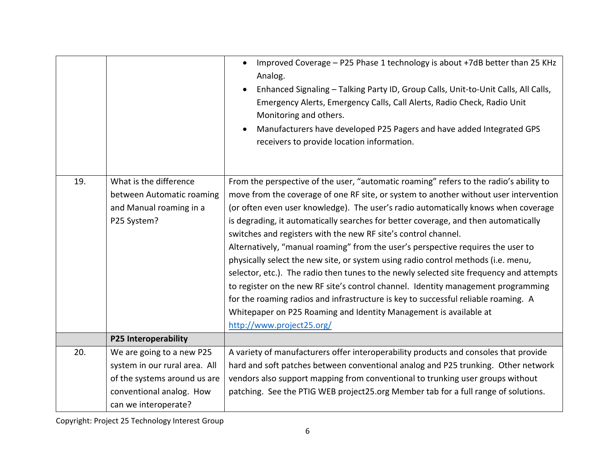|     |                               | Improved Coverage - P25 Phase 1 technology is about +7dB better than 25 KHz<br>$\bullet$<br>Analog.<br>Enhanced Signaling - Talking Party ID, Group Calls, Unit-to-Unit Calls, All Calls,<br>Emergency Alerts, Emergency Calls, Call Alerts, Radio Check, Radio Unit<br>Monitoring and others.<br>Manufacturers have developed P25 Pagers and have added Integrated GPS<br>receivers to provide location information. |
|-----|-------------------------------|-----------------------------------------------------------------------------------------------------------------------------------------------------------------------------------------------------------------------------------------------------------------------------------------------------------------------------------------------------------------------------------------------------------------------|
| 19. | What is the difference        | From the perspective of the user, "automatic roaming" refers to the radio's ability to                                                                                                                                                                                                                                                                                                                                |
|     | between Automatic roaming     | move from the coverage of one RF site, or system to another without user intervention                                                                                                                                                                                                                                                                                                                                 |
|     | and Manual roaming in a       | (or often even user knowledge). The user's radio automatically knows when coverage                                                                                                                                                                                                                                                                                                                                    |
|     | P25 System?                   | is degrading, it automatically searches for better coverage, and then automatically                                                                                                                                                                                                                                                                                                                                   |
|     |                               | switches and registers with the new RF site's control channel.                                                                                                                                                                                                                                                                                                                                                        |
|     |                               | Alternatively, "manual roaming" from the user's perspective requires the user to                                                                                                                                                                                                                                                                                                                                      |
|     |                               | physically select the new site, or system using radio control methods (i.e. menu,                                                                                                                                                                                                                                                                                                                                     |
|     |                               | selector, etc.). The radio then tunes to the newly selected site frequency and attempts                                                                                                                                                                                                                                                                                                                               |
|     |                               | to register on the new RF site's control channel. Identity management programming                                                                                                                                                                                                                                                                                                                                     |
|     |                               | for the roaming radios and infrastructure is key to successful reliable roaming. A                                                                                                                                                                                                                                                                                                                                    |
|     |                               | Whitepaper on P25 Roaming and Identity Management is available at                                                                                                                                                                                                                                                                                                                                                     |
|     |                               | http://www.project25.org/                                                                                                                                                                                                                                                                                                                                                                                             |
|     | <b>P25 Interoperability</b>   |                                                                                                                                                                                                                                                                                                                                                                                                                       |
| 20. | We are going to a new P25     | A variety of manufacturers offer interoperability products and consoles that provide                                                                                                                                                                                                                                                                                                                                  |
|     | system in our rural area. All | hard and soft patches between conventional analog and P25 trunking. Other network                                                                                                                                                                                                                                                                                                                                     |
|     | of the systems around us are  | vendors also support mapping from conventional to trunking user groups without                                                                                                                                                                                                                                                                                                                                        |
|     | conventional analog. How      | patching. See the PTIG WEB project25.org Member tab for a full range of solutions.                                                                                                                                                                                                                                                                                                                                    |
|     | can we interoperate?          |                                                                                                                                                                                                                                                                                                                                                                                                                       |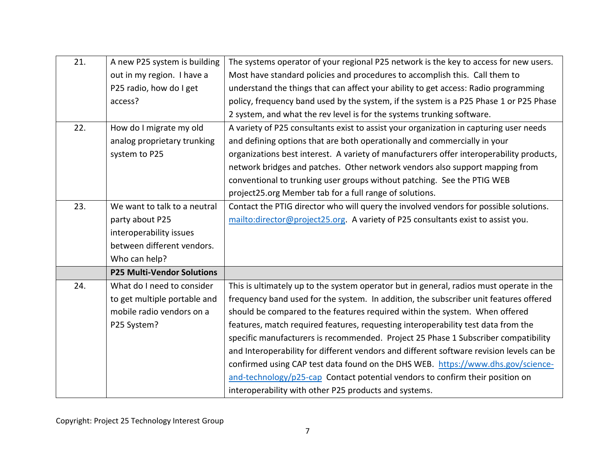| 21. | A new P25 system is building      | The systems operator of your regional P25 network is the key to access for new users.    |
|-----|-----------------------------------|------------------------------------------------------------------------------------------|
|     | out in my region. I have a        | Most have standard policies and procedures to accomplish this. Call them to              |
|     | P25 radio, how do I get           | understand the things that can affect your ability to get access: Radio programming      |
|     | access?                           | policy, frequency band used by the system, if the system is a P25 Phase 1 or P25 Phase   |
|     |                                   | 2 system, and what the rev level is for the systems trunking software.                   |
| 22. | How do I migrate my old           | A variety of P25 consultants exist to assist your organization in capturing user needs   |
|     | analog proprietary trunking       | and defining options that are both operationally and commercially in your                |
|     | system to P25                     | organizations best interest. A variety of manufacturers offer interoperability products, |
|     |                                   | network bridges and patches. Other network vendors also support mapping from             |
|     |                                   | conventional to trunking user groups without patching. See the PTIG WEB                  |
|     |                                   | project25.org Member tab for a full range of solutions.                                  |
| 23. | We want to talk to a neutral      | Contact the PTIG director who will query the involved vendors for possible solutions.    |
|     | party about P25                   | mailto:director@project25.org. A variety of P25 consultants exist to assist you.         |
|     | interoperability issues           |                                                                                          |
|     | between different vendors.        |                                                                                          |
|     | Who can help?                     |                                                                                          |
|     | <b>P25 Multi-Vendor Solutions</b> |                                                                                          |
| 24. | What do I need to consider        | This is ultimately up to the system operator but in general, radios must operate in the  |
|     | to get multiple portable and      | frequency band used for the system. In addition, the subscriber unit features offered    |
|     | mobile radio vendors on a         | should be compared to the features required within the system. When offered              |
|     | P25 System?                       | features, match required features, requesting interoperability test data from the        |
|     |                                   | specific manufacturers is recommended. Project 25 Phase 1 Subscriber compatibility       |
|     |                                   | and Interoperability for different vendors and different software revision levels can be |
|     |                                   | confirmed using CAP test data found on the DHS WEB. https://www.dhs.gov/science-         |
|     |                                   | and-technology/p25-cap Contact potential vendors to confirm their position on            |
|     |                                   | interoperability with other P25 products and systems.                                    |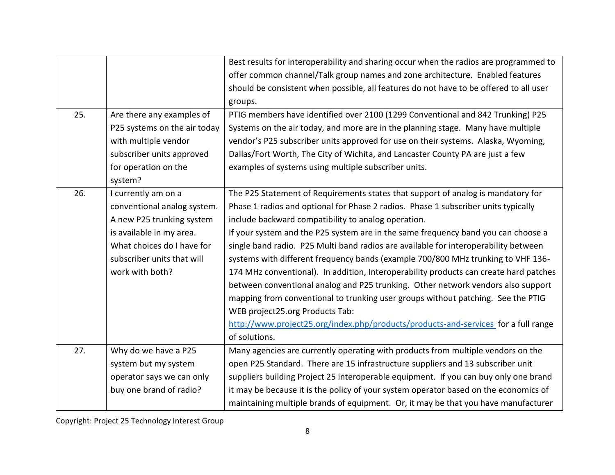|     |                              | Best results for interoperability and sharing occur when the radios are programmed to  |
|-----|------------------------------|----------------------------------------------------------------------------------------|
|     |                              | offer common channel/Talk group names and zone architecture. Enabled features          |
|     |                              | should be consistent when possible, all features do not have to be offered to all user |
|     |                              | groups.                                                                                |
| 25. | Are there any examples of    | PTIG members have identified over 2100 (1299 Conventional and 842 Trunking) P25        |
|     | P25 systems on the air today | Systems on the air today, and more are in the planning stage. Many have multiple       |
|     | with multiple vendor         | vendor's P25 subscriber units approved for use on their systems. Alaska, Wyoming,      |
|     | subscriber units approved    | Dallas/Fort Worth, The City of Wichita, and Lancaster County PA are just a few         |
|     | for operation on the         | examples of systems using multiple subscriber units.                                   |
|     | system?                      |                                                                                        |
| 26. | I currently am on a          | The P25 Statement of Requirements states that support of analog is mandatory for       |
|     | conventional analog system.  | Phase 1 radios and optional for Phase 2 radios. Phase 1 subscriber units typically     |
|     | A new P25 trunking system    | include backward compatibility to analog operation.                                    |
|     | is available in my area.     | If your system and the P25 system are in the same frequency band you can choose a      |
|     | What choices do I have for   | single band radio. P25 Multi band radios are available for interoperability between    |
|     | subscriber units that will   | systems with different frequency bands (example 700/800 MHz trunking to VHF 136-       |
|     | work with both?              | 174 MHz conventional). In addition, Interoperability products can create hard patches  |
|     |                              | between conventional analog and P25 trunking. Other network vendors also support       |
|     |                              | mapping from conventional to trunking user groups without patching. See the PTIG       |
|     |                              | WEB project25.org Products Tab:                                                        |
|     |                              | http://www.project25.org/index.php/products/products-and-services for a full range     |
|     |                              | of solutions.                                                                          |
| 27. | Why do we have a P25         | Many agencies are currently operating with products from multiple vendors on the       |
|     | system but my system         | open P25 Standard. There are 15 infrastructure suppliers and 13 subscriber unit        |
|     | operator says we can only    | suppliers building Project 25 interoperable equipment. If you can buy only one brand   |
|     | buy one brand of radio?      | it may be because it is the policy of your system operator based on the economics of   |
|     |                              | maintaining multiple brands of equipment. Or, it may be that you have manufacturer     |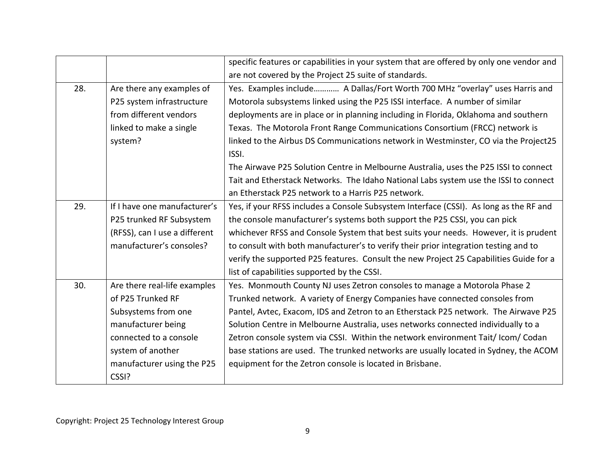|     |                               | specific features or capabilities in your system that are offered by only one vendor and |
|-----|-------------------------------|------------------------------------------------------------------------------------------|
|     |                               | are not covered by the Project 25 suite of standards.                                    |
| 28. | Are there any examples of     | Yes. Examples include A Dallas/Fort Worth 700 MHz "overlay" uses Harris and              |
|     | P25 system infrastructure     | Motorola subsystems linked using the P25 ISSI interface. A number of similar             |
|     | from different vendors        | deployments are in place or in planning including in Florida, Oklahoma and southern      |
|     | linked to make a single       | Texas. The Motorola Front Range Communications Consortium (FRCC) network is              |
|     | system?                       | linked to the Airbus DS Communications network in Westminster, CO via the Project25      |
|     |                               | ISSI.                                                                                    |
|     |                               | The Airwave P25 Solution Centre in Melbourne Australia, uses the P25 ISSI to connect     |
|     |                               | Tait and Etherstack Networks. The Idaho National Labs system use the ISSI to connect     |
|     |                               | an Etherstack P25 network to a Harris P25 network.                                       |
| 29. | If I have one manufacturer's  | Yes, if your RFSS includes a Console Subsystem Interface (CSSI). As long as the RF and   |
|     | P25 trunked RF Subsystem      | the console manufacturer's systems both support the P25 CSSI, you can pick               |
|     | (RFSS), can I use a different | whichever RFSS and Console System that best suits your needs. However, it is prudent     |
|     | manufacturer's consoles?      | to consult with both manufacturer's to verify their prior integration testing and to     |
|     |                               | verify the supported P25 features. Consult the new Project 25 Capabilities Guide for a   |
|     |                               | list of capabilities supported by the CSSI.                                              |
| 30. | Are there real-life examples  | Yes. Monmouth County NJ uses Zetron consoles to manage a Motorola Phase 2                |
|     | of P25 Trunked RF             | Trunked network. A variety of Energy Companies have connected consoles from              |
|     | Subsystems from one           | Pantel, Avtec, Exacom, IDS and Zetron to an Etherstack P25 network. The Airwave P25      |
|     | manufacturer being            | Solution Centre in Melbourne Australia, uses networks connected individually to a        |
|     | connected to a console        | Zetron console system via CSSI. Within the network environment Tait/Icom/Codan           |
|     | system of another             | base stations are used. The trunked networks are usually located in Sydney, the ACOM     |
|     | manufacturer using the P25    | equipment for the Zetron console is located in Brisbane.                                 |
|     | CSSI?                         |                                                                                          |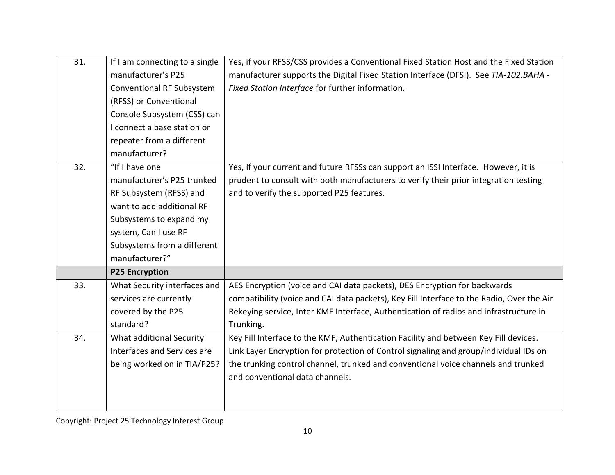| 31. | If I am connecting to a single   | Yes, if your RFSS/CSS provides a Conventional Fixed Station Host and the Fixed Station    |
|-----|----------------------------------|-------------------------------------------------------------------------------------------|
|     | manufacturer's P25               | manufacturer supports the Digital Fixed Station Interface (DFSI). See TIA-102.BAHA -      |
|     | <b>Conventional RF Subsystem</b> | Fixed Station Interface for further information.                                          |
|     | (RFSS) or Conventional           |                                                                                           |
|     | Console Subsystem (CSS) can      |                                                                                           |
|     | I connect a base station or      |                                                                                           |
|     | repeater from a different        |                                                                                           |
|     | manufacturer?                    |                                                                                           |
| 32. | "If I have one                   | Yes, If your current and future RFSSs can support an ISSI Interface. However, it is       |
|     | manufacturer's P25 trunked       | prudent to consult with both manufacturers to verify their prior integration testing      |
|     | RF Subsystem (RFSS) and          | and to verify the supported P25 features.                                                 |
|     | want to add additional RF        |                                                                                           |
|     | Subsystems to expand my          |                                                                                           |
|     | system, Can I use RF             |                                                                                           |
|     | Subsystems from a different      |                                                                                           |
|     | manufacturer?"                   |                                                                                           |
|     | <b>P25 Encryption</b>            |                                                                                           |
| 33. | What Security interfaces and     | AES Encryption (voice and CAI data packets), DES Encryption for backwards                 |
|     | services are currently           | compatibility (voice and CAI data packets), Key Fill Interface to the Radio, Over the Air |
|     | covered by the P25               | Rekeying service, Inter KMF Interface, Authentication of radios and infrastructure in     |
|     | standard?                        | Trunking.                                                                                 |
| 34. | What additional Security         | Key Fill Interface to the KMF, Authentication Facility and between Key Fill devices.      |
|     | Interfaces and Services are      | Link Layer Encryption for protection of Control signaling and group/individual IDs on     |
|     | being worked on in TIA/P25?      | the trunking control channel, trunked and conventional voice channels and trunked         |
|     |                                  | and conventional data channels.                                                           |
|     |                                  |                                                                                           |
|     |                                  |                                                                                           |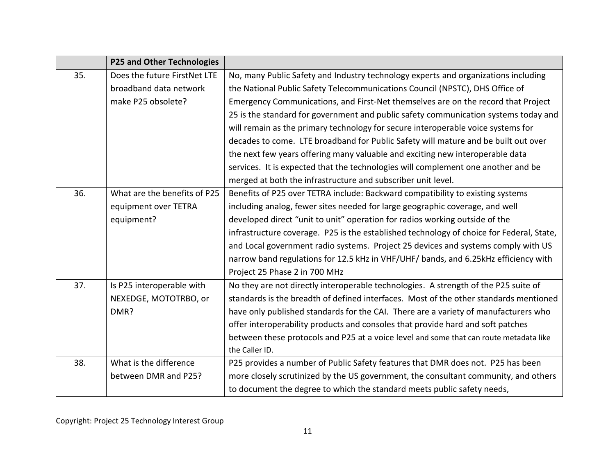|     | <b>P25 and Other Technologies</b> |                                                                                          |
|-----|-----------------------------------|------------------------------------------------------------------------------------------|
| 35. | Does the future FirstNet LTE      | No, many Public Safety and Industry technology experts and organizations including       |
|     | broadband data network            | the National Public Safety Telecommunications Council (NPSTC), DHS Office of             |
|     | make P25 obsolete?                | Emergency Communications, and First-Net themselves are on the record that Project        |
|     |                                   | 25 is the standard for government and public safety communication systems today and      |
|     |                                   | will remain as the primary technology for secure interoperable voice systems for         |
|     |                                   | decades to come. LTE broadband for Public Safety will mature and be built out over       |
|     |                                   | the next few years offering many valuable and exciting new interoperable data            |
|     |                                   | services. It is expected that the technologies will complement one another and be        |
|     |                                   | merged at both the infrastructure and subscriber unit level.                             |
| 36. | What are the benefits of P25      | Benefits of P25 over TETRA include: Backward compatibility to existing systems           |
|     | equipment over TETRA              | including analog, fewer sites needed for large geographic coverage, and well             |
|     | equipment?                        | developed direct "unit to unit" operation for radios working outside of the              |
|     |                                   | infrastructure coverage. P25 is the established technology of choice for Federal, State, |
|     |                                   | and Local government radio systems. Project 25 devices and systems comply with US        |
|     |                                   | narrow band regulations for 12.5 kHz in VHF/UHF/ bands, and 6.25kHz efficiency with      |
|     |                                   | Project 25 Phase 2 in 700 MHz                                                            |
| 37. | Is P25 interoperable with         | No they are not directly interoperable technologies. A strength of the P25 suite of      |
|     | NEXEDGE, MOTOTRBO, or             | standards is the breadth of defined interfaces. Most of the other standards mentioned    |
|     | DMR?                              | have only published standards for the CAI. There are a variety of manufacturers who      |
|     |                                   | offer interoperability products and consoles that provide hard and soft patches          |
|     |                                   | between these protocols and P25 at a voice level and some that can route metadata like   |
|     |                                   | the Caller ID.                                                                           |
| 38. | What is the difference            | P25 provides a number of Public Safety features that DMR does not. P25 has been          |
|     | between DMR and P25?              | more closely scrutinized by the US government, the consultant community, and others      |
|     |                                   | to document the degree to which the standard meets public safety needs,                  |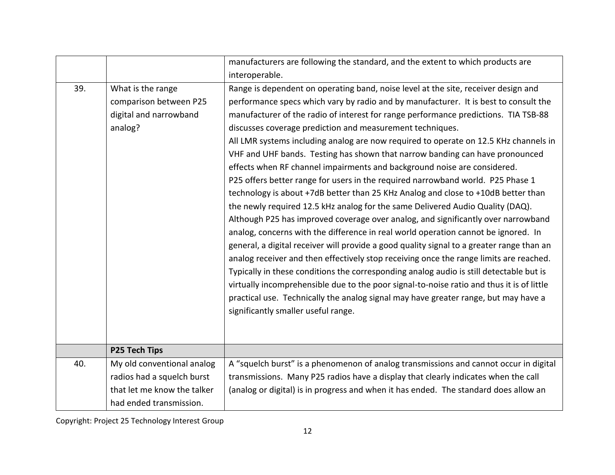|     |                             | manufacturers are following the standard, and the extent to which products are            |
|-----|-----------------------------|-------------------------------------------------------------------------------------------|
|     |                             | interoperable.                                                                            |
| 39. | What is the range           | Range is dependent on operating band, noise level at the site, receiver design and        |
|     | comparison between P25      | performance specs which vary by radio and by manufacturer. It is best to consult the      |
|     | digital and narrowband      | manufacturer of the radio of interest for range performance predictions. TIA TSB-88       |
|     | analog?                     | discusses coverage prediction and measurement techniques.                                 |
|     |                             | All LMR systems including analog are now required to operate on 12.5 KHz channels in      |
|     |                             | VHF and UHF bands. Testing has shown that narrow banding can have pronounced              |
|     |                             | effects when RF channel impairments and background noise are considered.                  |
|     |                             | P25 offers better range for users in the required narrowband world. P25 Phase 1           |
|     |                             | technology is about +7dB better than 25 KHz Analog and close to +10dB better than         |
|     |                             | the newly required 12.5 kHz analog for the same Delivered Audio Quality (DAQ).            |
|     |                             | Although P25 has improved coverage over analog, and significantly over narrowband         |
|     |                             | analog, concerns with the difference in real world operation cannot be ignored. In        |
|     |                             | general, a digital receiver will provide a good quality signal to a greater range than an |
|     |                             | analog receiver and then effectively stop receiving once the range limits are reached.    |
|     |                             | Typically in these conditions the corresponding analog audio is still detectable but is   |
|     |                             | virtually incomprehensible due to the poor signal-to-noise ratio and thus it is of little |
|     |                             | practical use. Technically the analog signal may have greater range, but may have a       |
|     |                             | significantly smaller useful range.                                                       |
|     |                             |                                                                                           |
|     |                             |                                                                                           |
|     | P25 Tech Tips               |                                                                                           |
| 40. | My old conventional analog  | A "squelch burst" is a phenomenon of analog transmissions and cannot occur in digital     |
|     | radios had a squelch burst  | transmissions. Many P25 radios have a display that clearly indicates when the call        |
|     | that let me know the talker | (analog or digital) is in progress and when it has ended. The standard does allow an      |
|     | had ended transmission.     |                                                                                           |